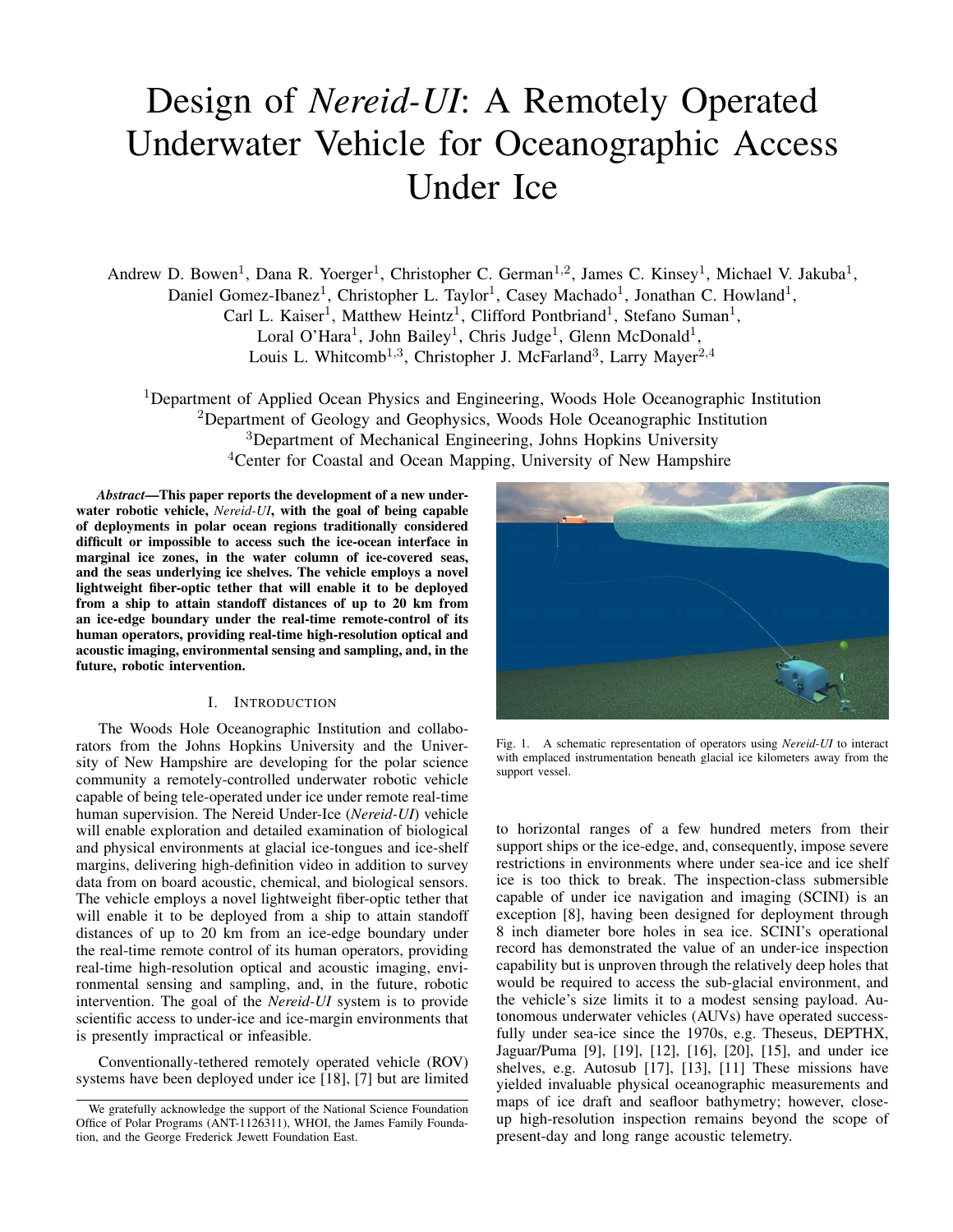# Design of *Nereid-UI*: A Remotely Operated Underwater Vehicle for Oceanographic Access Under Ice

Andrew D. Bowen<sup>1</sup>, Dana R. Yoerger<sup>1</sup>, Christopher C. German<sup>1,2</sup>, James C. Kinsey<sup>1</sup>, Michael V. Jakuba<sup>1</sup>, Daniel Gomez-Ibanez<sup>1</sup>, Christopher L. Taylor<sup>1</sup>, Casey Machado<sup>1</sup>, Jonathan C. Howland<sup>1</sup>, Carl L. Kaiser<sup>1</sup>, Matthew Heintz<sup>1</sup>, Clifford Pontbriand<sup>1</sup>, Stefano Suman<sup>1</sup>, Loral O'Hara<sup>1</sup>, John Bailey<sup>1</sup>, Chris Judge<sup>1</sup>, Glenn McDonald<sup>1</sup>, Louis L. Whitcomb<sup>1,3</sup>, Christopher J. McFarland<sup>3</sup>, Larry Mayer<sup>2,4</sup>

<sup>1</sup>Department of Applied Ocean Physics and Engineering, Woods Hole Oceanographic Institution <sup>2</sup>Department of Geology and Geophysics, Woods Hole Oceanographic Institution <sup>3</sup>Department of Mechanical Engineering, Johns Hopkins University <sup>4</sup>Center for Coastal and Ocean Mapping, University of New Hampshire

*Abstract*—This paper reports the development of a new underwater robotic vehicle, *Nereid-UI*, with the goal of being capable of deployments in polar ocean regions traditionally considered difficult or impossible to access such the ice-ocean interface in marginal ice zones, in the water column of ice-covered seas, and the seas underlying ice shelves. The vehicle employs a novel lightweight fiber-optic tether that will enable it to be deployed from a ship to attain standoff distances of up to 20 km from an ice-edge boundary under the real-time remote-control of its human operators, providing real-time high-resolution optical and acoustic imaging, environmental sensing and sampling, and, in the future, robotic intervention.

# I. INTRODUCTION

The Woods Hole Oceanographic Institution and collaborators from the Johns Hopkins University and the University of New Hampshire are developing for the polar science community a remotely-controlled underwater robotic vehicle capable of being tele-operated under ice under remote real-time human supervision. The Nereid Under-Ice (*Nereid-UI*) vehicle will enable exploration and detailed examination of biological and physical environments at glacial ice-tongues and ice-shelf margins, delivering high-definition video in addition to survey data from on board acoustic, chemical, and biological sensors. The vehicle employs a novel lightweight fiber-optic tether that will enable it to be deployed from a ship to attain standoff distances of up to 20 km from an ice-edge boundary under the real-time remote control of its human operators, providing real-time high-resolution optical and acoustic imaging, environmental sensing and sampling, and, in the future, robotic intervention. The goal of the *Nereid-UI* system is to provide scientific access to under-ice and ice-margin environments that is presently impractical or infeasible.

Conventionally-tethered remotely operated vehicle (ROV) systems have been deployed under ice [18], [7] but are limited



Fig. 1. A schematic representation of operators using *Nereid-UI* to interact with emplaced instrumentation beneath glacial ice kilometers away from the support vessel.

to horizontal ranges of a few hundred meters from their support ships or the ice-edge, and, consequently, impose severe restrictions in environments where under sea-ice and ice shelf ice is too thick to break. The inspection-class submersible capable of under ice navigation and imaging (SCINI) is an exception [8], having been designed for deployment through 8 inch diameter bore holes in sea ice. SCINI's operational record has demonstrated the value of an under-ice inspection capability but is unproven through the relatively deep holes that would be required to access the sub-glacial environment, and the vehicle's size limits it to a modest sensing payload. Autonomous underwater vehicles (AUVs) have operated successfully under sea-ice since the 1970s, e.g. Theseus, DEPTHX, Jaguar/Puma [9], [19], [12], [16], [20], [15], and under ice shelves, e.g. Autosub [17], [13], [11] These missions have yielded invaluable physical oceanographic measurements and maps of ice draft and seafloor bathymetry; however, closeup high-resolution inspection remains beyond the scope of present-day and long range acoustic telemetry.

We gratefully acknowledge the support of the National Science Foundation Office of Polar Programs (ANT-1126311), WHOI, the James Family Foundation, and the George Frederick Jewett Foundation East.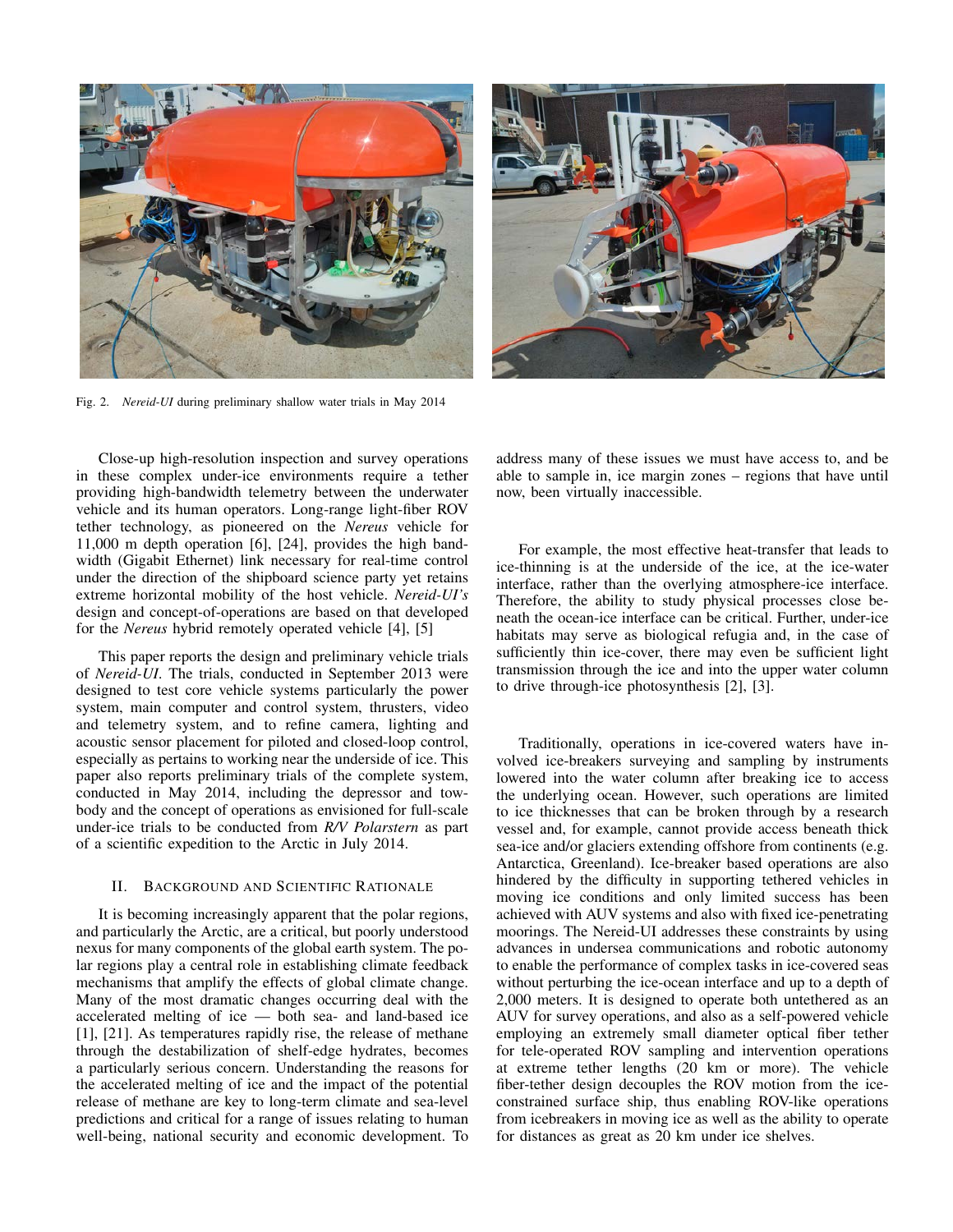

Fig. 2. *Nereid-UI* during preliminary shallow water trials in May 2014

Close-up high-resolution inspection and survey operations in these complex under-ice environments require a tether providing high-bandwidth telemetry between the underwater vehicle and its human operators. Long-range light-fiber ROV tether technology, as pioneered on the *Nereus* vehicle for 11,000 m depth operation [6], [24], provides the high bandwidth (Gigabit Ethernet) link necessary for real-time control under the direction of the shipboard science party yet retains extreme horizontal mobility of the host vehicle. *Nereid-UI's* design and concept-of-operations are based on that developed for the *Nereus* hybrid remotely operated vehicle [4], [5]

This paper reports the design and preliminary vehicle trials of *Nereid-UI*. The trials, conducted in September 2013 were designed to test core vehicle systems particularly the power system, main computer and control system, thrusters, video and telemetry system, and to refine camera, lighting and acoustic sensor placement for piloted and closed-loop control, especially as pertains to working near the underside of ice. This paper also reports preliminary trials of the complete system, conducted in May 2014, including the depressor and towbody and the concept of operations as envisioned for full-scale under-ice trials to be conducted from *R/V Polarstern* as part of a scientific expedition to the Arctic in July 2014.

## II. BACKGROUND AND SCIENTIFIC RATIONALE

It is becoming increasingly apparent that the polar regions, and particularly the Arctic, are a critical, but poorly understood nexus for many components of the global earth system. The polar regions play a central role in establishing climate feedback mechanisms that amplify the effects of global climate change. Many of the most dramatic changes occurring deal with the accelerated melting of ice — both sea- and land-based ice [1], [21]. As temperatures rapidly rise, the release of methane through the destabilization of shelf-edge hydrates, becomes a particularly serious concern. Understanding the reasons for the accelerated melting of ice and the impact of the potential release of methane are key to long-term climate and sea-level predictions and critical for a range of issues relating to human well-being, national security and economic development. To



now, been virtually inaccessible.

For example, the most effective heat-transfer that leads to ice-thinning is at the underside of the ice, at the ice-water interface, rather than the overlying atmosphere-ice interface. Therefore, the ability to study physical processes close beneath the ocean-ice interface can be critical. Further, under-ice habitats may serve as biological refugia and, in the case of sufficiently thin ice-cover, there may even be sufficient light transmission through the ice and into the upper water column to drive through-ice photosynthesis [2], [3].

Traditionally, operations in ice-covered waters have involved ice-breakers surveying and sampling by instruments lowered into the water column after breaking ice to access the underlying ocean. However, such operations are limited to ice thicknesses that can be broken through by a research vessel and, for example, cannot provide access beneath thick sea-ice and/or glaciers extending offshore from continents (e.g. Antarctica, Greenland). Ice-breaker based operations are also hindered by the difficulty in supporting tethered vehicles in moving ice conditions and only limited success has been achieved with AUV systems and also with fixed ice-penetrating moorings. The Nereid-UI addresses these constraints by using advances in undersea communications and robotic autonomy to enable the performance of complex tasks in ice-covered seas without perturbing the ice-ocean interface and up to a depth of 2,000 meters. It is designed to operate both untethered as an AUV for survey operations, and also as a self-powered vehicle employing an extremely small diameter optical fiber tether for tele-operated ROV sampling and intervention operations at extreme tether lengths (20 km or more). The vehicle fiber-tether design decouples the ROV motion from the iceconstrained surface ship, thus enabling ROV-like operations from icebreakers in moving ice as well as the ability to operate for distances as great as 20 km under ice shelves.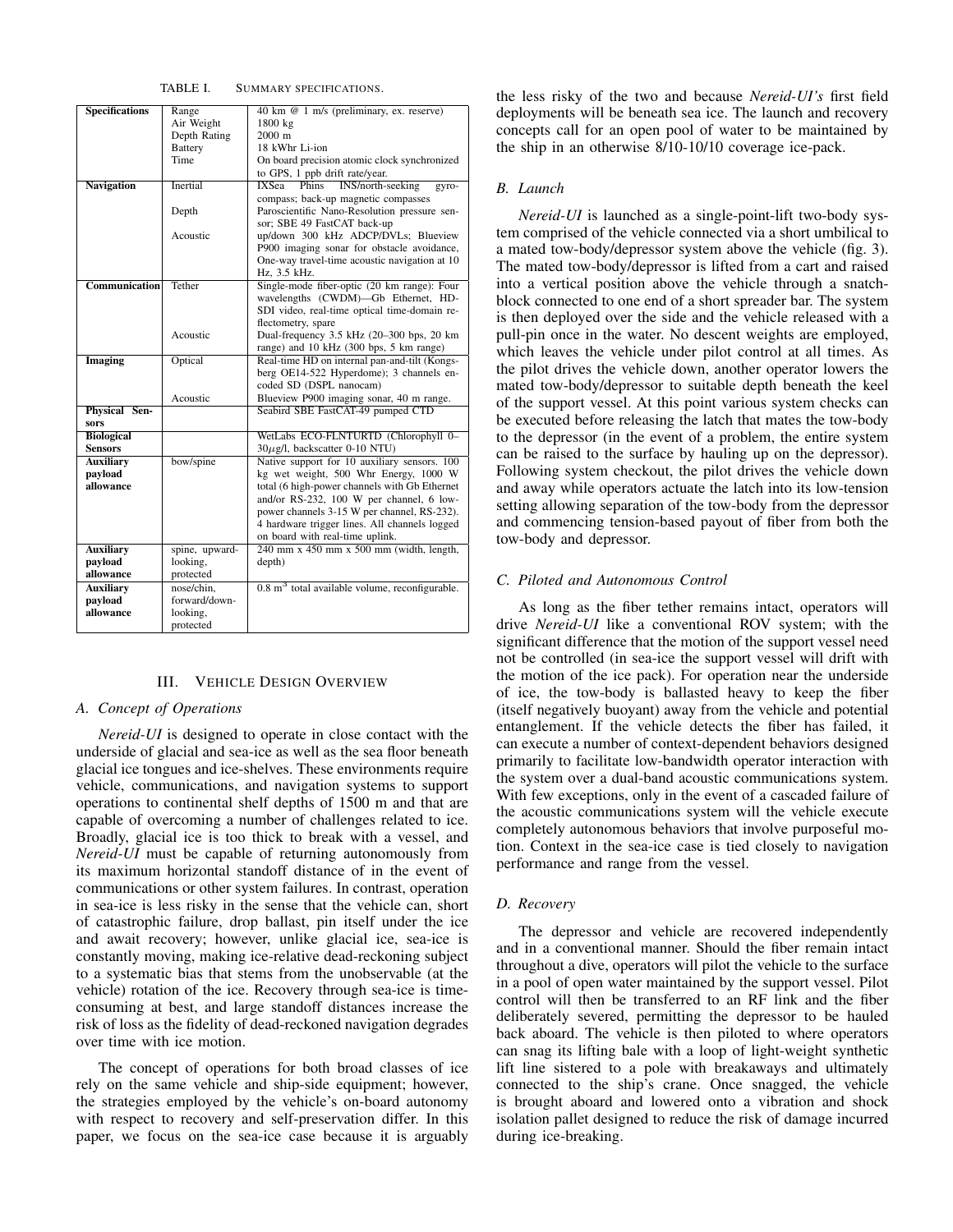TABLE I. SUMMARY SPECIFICATIONS.

| <b>Specifications</b> | Range          | 40 km @ 1 m/s (preliminary, ex. reserve)                          |
|-----------------------|----------------|-------------------------------------------------------------------|
|                       | Air Weight     | 1800 kg                                                           |
|                       | Depth Rating   | $2000 \; \mathrm{m}$                                              |
|                       | <b>Battery</b> | 18 kWhr Li-ion                                                    |
|                       | Time           | On board precision atomic clock synchronized                      |
|                       |                | to GPS, 1 ppb drift rate/year.                                    |
| <b>Navigation</b>     | Inertial       | <b>Phins</b><br><b>INS/north-seeking</b><br><b>IXSea</b><br>gyro- |
|                       |                | compass; back-up magnetic compasses                               |
|                       | Depth          | Paroscientific Nano-Resolution pressure sen-                      |
|                       |                | sor; SBE 49 FastCAT back-up                                       |
|                       | Acoustic       | up/down 300 kHz ADCP/DVLs; Blueview                               |
|                       |                | P900 imaging sonar for obstacle avoidance,                        |
|                       |                | One-way travel-time acoustic navigation at 10                     |
|                       |                | Hz, 3.5 kHz.                                                      |
| <b>Communication</b>  | Tether         | Single-mode fiber-optic (20 km range): Four                       |
|                       |                | wavelengths (CWDM)-Gb Ethernet, HD-                               |
|                       |                | SDI video, real-time optical time-domain re-                      |
|                       |                | flectometry, spare                                                |
|                       | Acoustic       | Dual-frequency 3.5 kHz (20-300 bps, 20 km                         |
|                       |                | range) and 10 kHz (300 bps, 5 km range)                           |
| <b>Imaging</b>        | Optical        | Real-time HD on internal pan-and-tilt (Kongs-                     |
|                       |                | berg OE14-522 Hyperdome); 3 channels en-                          |
|                       |                | coded SD (DSPL nanocam)                                           |
|                       | Acoustic       | Blueview P900 imaging sonar, 40 m range.                          |
| Physical Sen-         |                | Seabird SBE FastCAT-49 pumped CTD                                 |
| sors                  |                |                                                                   |
| <b>Biological</b>     |                | WetLabs ECO-FLNTURTD (Chlorophyll 0-                              |
| <b>Sensors</b>        |                | $30\mu$ g/l, backscatter 0-10 NTU)                                |
| <b>Auxiliary</b>      | bow/spine      | Native support for 10 auxiliary sensors. 100                      |
| payload               |                | kg wet weight, 500 Whr Energy, 1000 W                             |
| allowance             |                | total (6 high-power channels with Gb Ethernet                     |
|                       |                | and/or RS-232, 100 W per channel, 6 low-                          |
|                       |                | power channels 3-15 W per channel, RS-232).                       |
|                       |                | 4 hardware trigger lines. All channels logged                     |
|                       |                | on board with real-time uplink.                                   |
| <b>Auxiliary</b>      | spine, upward- | $240$ mm x $450$ mm x $500$ mm (width, length,                    |
| payload               | looking,       | depth)                                                            |
| allowance             | protected      |                                                                   |
| <b>Auxiliary</b>      | nose/chin.     | $0.8 \text{ m}^3$ total available volume, reconfigurable.         |
| payload               | forward/down-  |                                                                   |
| allowance             | looking.       |                                                                   |
|                       | protected      |                                                                   |

#### III. VEHICLE DESIGN OVERVIEW

#### *A. Concept of Operations*

*Nereid-UI* is designed to operate in close contact with the underside of glacial and sea-ice as well as the sea floor beneath glacial ice tongues and ice-shelves. These environments require vehicle, communications, and navigation systems to support operations to continental shelf depths of 1500 m and that are capable of overcoming a number of challenges related to ice. Broadly, glacial ice is too thick to break with a vessel, and *Nereid-UI* must be capable of returning autonomously from its maximum horizontal standoff distance of in the event of communications or other system failures. In contrast, operation in sea-ice is less risky in the sense that the vehicle can, short of catastrophic failure, drop ballast, pin itself under the ice and await recovery; however, unlike glacial ice, sea-ice is constantly moving, making ice-relative dead-reckoning subject to a systematic bias that stems from the unobservable (at the vehicle) rotation of the ice. Recovery through sea-ice is timeconsuming at best, and large standoff distances increase the risk of loss as the fidelity of dead-reckoned navigation degrades over time with ice motion.

The concept of operations for both broad classes of ice rely on the same vehicle and ship-side equipment; however, the strategies employed by the vehicle's on-board autonomy with respect to recovery and self-preservation differ. In this paper, we focus on the sea-ice case because it is arguably the less risky of the two and because *Nereid-UI's* first field deployments will be beneath sea ice. The launch and recovery concepts call for an open pool of water to be maintained by the ship in an otherwise 8/10-10/10 coverage ice-pack.

# *B. Launch*

*Nereid-UI* is launched as a single-point-lift two-body system comprised of the vehicle connected via a short umbilical to a mated tow-body/depressor system above the vehicle (fig. 3). The mated tow-body/depressor is lifted from a cart and raised into a vertical position above the vehicle through a snatchblock connected to one end of a short spreader bar. The system is then deployed over the side and the vehicle released with a pull-pin once in the water. No descent weights are employed, which leaves the vehicle under pilot control at all times. As the pilot drives the vehicle down, another operator lowers the mated tow-body/depressor to suitable depth beneath the keel of the support vessel. At this point various system checks can be executed before releasing the latch that mates the tow-body to the depressor (in the event of a problem, the entire system can be raised to the surface by hauling up on the depressor). Following system checkout, the pilot drives the vehicle down and away while operators actuate the latch into its low-tension setting allowing separation of the tow-body from the depressor and commencing tension-based payout of fiber from both the tow-body and depressor.

#### *C. Piloted and Autonomous Control*

As long as the fiber tether remains intact, operators will drive *Nereid-UI* like a conventional ROV system; with the significant difference that the motion of the support vessel need not be controlled (in sea-ice the support vessel will drift with the motion of the ice pack). For operation near the underside of ice, the tow-body is ballasted heavy to keep the fiber (itself negatively buoyant) away from the vehicle and potential entanglement. If the vehicle detects the fiber has failed, it can execute a number of context-dependent behaviors designed primarily to facilitate low-bandwidth operator interaction with the system over a dual-band acoustic communications system. With few exceptions, only in the event of a cascaded failure of the acoustic communications system will the vehicle execute completely autonomous behaviors that involve purposeful motion. Context in the sea-ice case is tied closely to navigation performance and range from the vessel.

### *D. Recovery*

The depressor and vehicle are recovered independently and in a conventional manner. Should the fiber remain intact throughout a dive, operators will pilot the vehicle to the surface in a pool of open water maintained by the support vessel. Pilot control will then be transferred to an RF link and the fiber deliberately severed, permitting the depressor to be hauled back aboard. The vehicle is then piloted to where operators can snag its lifting bale with a loop of light-weight synthetic lift line sistered to a pole with breakaways and ultimately connected to the ship's crane. Once snagged, the vehicle is brought aboard and lowered onto a vibration and shock isolation pallet designed to reduce the risk of damage incurred during ice-breaking.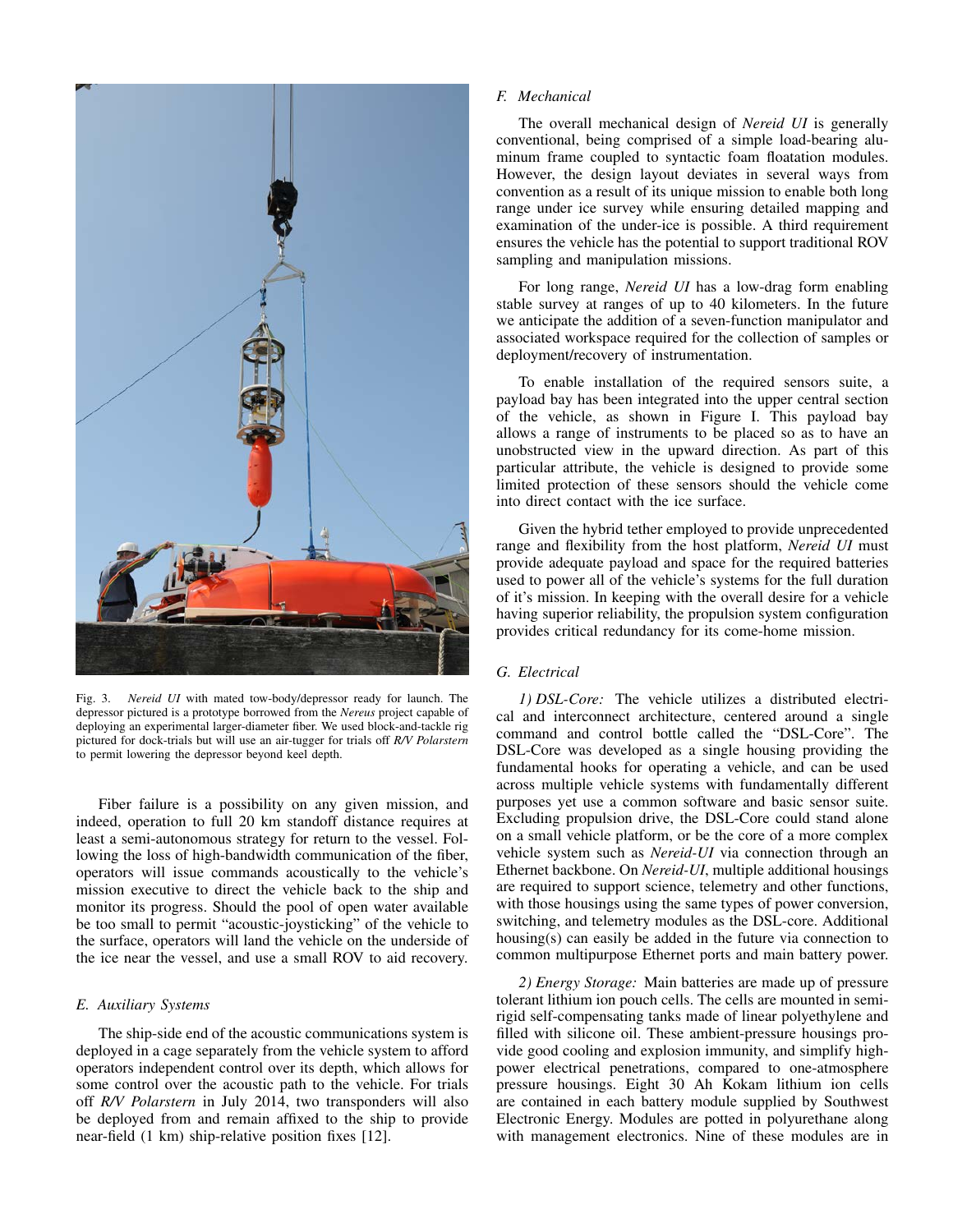

Fig. 3. *Nereid UI* with mated tow-body/depressor ready for launch. The depressor pictured is a prototype borrowed from the *Nereus* project capable of deploying an experimental larger-diameter fiber. We used block-and-tackle rig pictured for dock-trials but will use an air-tugger for trials off *R/V Polarstern* to permit lowering the depressor beyond keel depth.

Fiber failure is a possibility on any given mission, and indeed, operation to full 20 km standoff distance requires at least a semi-autonomous strategy for return to the vessel. Following the loss of high-bandwidth communication of the fiber, operators will issue commands acoustically to the vehicle's mission executive to direct the vehicle back to the ship and monitor its progress. Should the pool of open water available be too small to permit "acoustic-joysticking" of the vehicle to the surface, operators will land the vehicle on the underside of the ice near the vessel, and use a small ROV to aid recovery.

## *E. Auxiliary Systems*

The ship-side end of the acoustic communications system is deployed in a cage separately from the vehicle system to afford operators independent control over its depth, which allows for some control over the acoustic path to the vehicle. For trials off *R/V Polarstern* in July 2014, two transponders will also be deployed from and remain affixed to the ship to provide near-field (1 km) ship-relative position fixes [12].

# *F. Mechanical*

The overall mechanical design of *Nereid UI* is generally conventional, being comprised of a simple load-bearing aluminum frame coupled to syntactic foam floatation modules. However, the design layout deviates in several ways from convention as a result of its unique mission to enable both long range under ice survey while ensuring detailed mapping and examination of the under-ice is possible. A third requirement ensures the vehicle has the potential to support traditional ROV sampling and manipulation missions.

For long range, *Nereid UI* has a low-drag form enabling stable survey at ranges of up to 40 kilometers. In the future we anticipate the addition of a seven-function manipulator and associated workspace required for the collection of samples or deployment/recovery of instrumentation.

To enable installation of the required sensors suite, a payload bay has been integrated into the upper central section of the vehicle, as shown in Figure I. This payload bay allows a range of instruments to be placed so as to have an unobstructed view in the upward direction. As part of this particular attribute, the vehicle is designed to provide some limited protection of these sensors should the vehicle come into direct contact with the ice surface.

Given the hybrid tether employed to provide unprecedented range and flexibility from the host platform, *Nereid UI* must provide adequate payload and space for the required batteries used to power all of the vehicle's systems for the full duration of it's mission. In keeping with the overall desire for a vehicle having superior reliability, the propulsion system configuration provides critical redundancy for its come-home mission.

## *G. Electrical*

*1) DSL-Core:* The vehicle utilizes a distributed electrical and interconnect architecture, centered around a single command and control bottle called the "DSL-Core". The DSL-Core was developed as a single housing providing the fundamental hooks for operating a vehicle, and can be used across multiple vehicle systems with fundamentally different purposes yet use a common software and basic sensor suite. Excluding propulsion drive, the DSL-Core could stand alone on a small vehicle platform, or be the core of a more complex vehicle system such as *Nereid-UI* via connection through an Ethernet backbone. On *Nereid-UI*, multiple additional housings are required to support science, telemetry and other functions, with those housings using the same types of power conversion, switching, and telemetry modules as the DSL-core. Additional housing(s) can easily be added in the future via connection to common multipurpose Ethernet ports and main battery power.

*2) Energy Storage:* Main batteries are made up of pressure tolerant lithium ion pouch cells. The cells are mounted in semirigid self-compensating tanks made of linear polyethylene and filled with silicone oil. These ambient-pressure housings provide good cooling and explosion immunity, and simplify highpower electrical penetrations, compared to one-atmosphere pressure housings. Eight 30 Ah Kokam lithium ion cells are contained in each battery module supplied by Southwest Electronic Energy. Modules are potted in polyurethane along with management electronics. Nine of these modules are in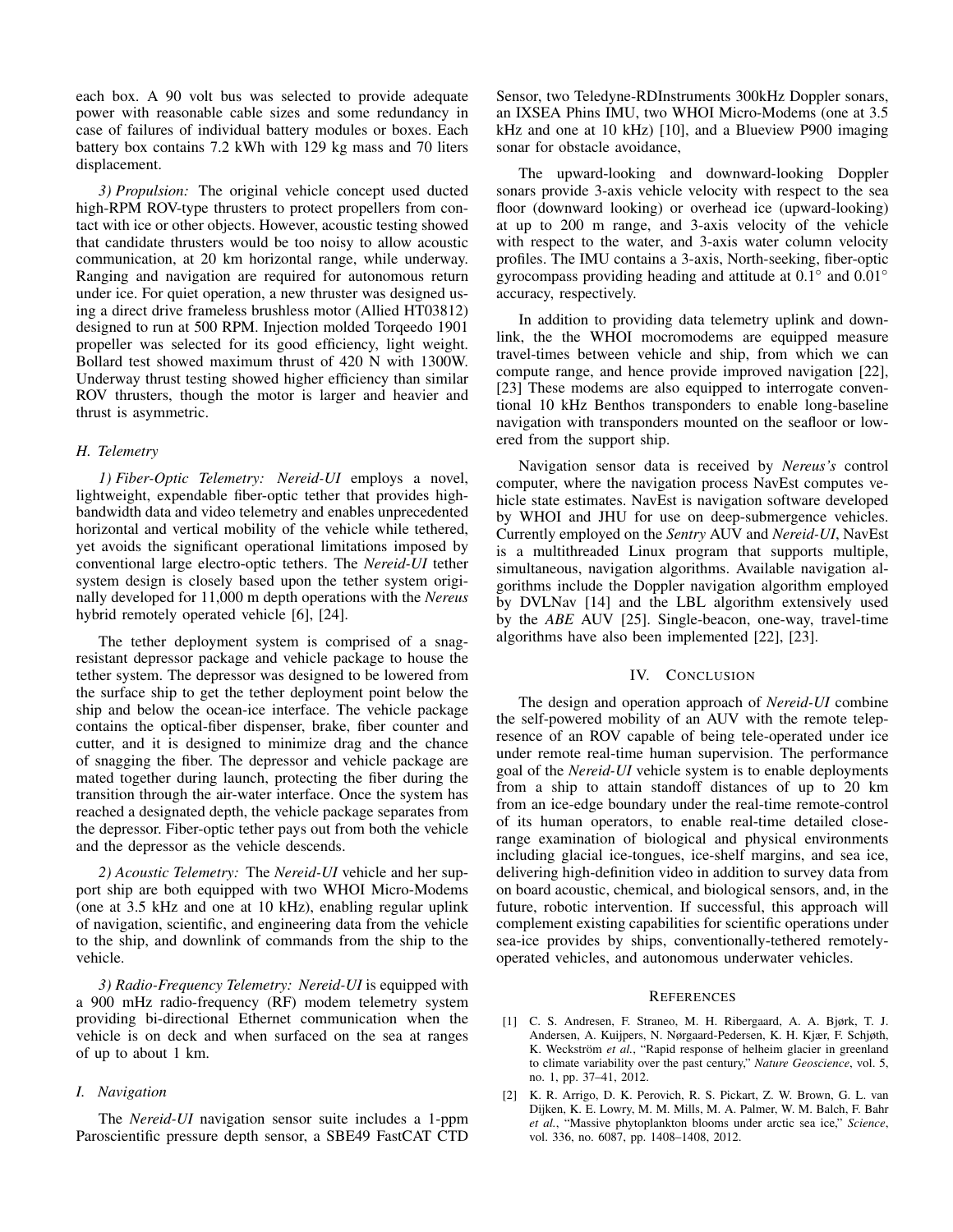each box. A 90 volt bus was selected to provide adequate power with reasonable cable sizes and some redundancy in case of failures of individual battery modules or boxes. Each battery box contains 7.2 kWh with 129 kg mass and 70 liters displacement.

*3) Propulsion:* The original vehicle concept used ducted high-RPM ROV-type thrusters to protect propellers from contact with ice or other objects. However, acoustic testing showed that candidate thrusters would be too noisy to allow acoustic communication, at 20 km horizontal range, while underway. Ranging and navigation are required for autonomous return under ice. For quiet operation, a new thruster was designed using a direct drive frameless brushless motor (Allied HT03812) designed to run at 500 RPM. Injection molded Torqeedo 1901 propeller was selected for its good efficiency, light weight. Bollard test showed maximum thrust of 420 N with 1300W. Underway thrust testing showed higher efficiency than similar ROV thrusters, though the motor is larger and heavier and thrust is asymmetric.

## *H. Telemetry*

*1) Fiber-Optic Telemetry: Nereid-UI* employs a novel, lightweight, expendable fiber-optic tether that provides highbandwidth data and video telemetry and enables unprecedented horizontal and vertical mobility of the vehicle while tethered, yet avoids the significant operational limitations imposed by conventional large electro-optic tethers. The *Nereid-UI* tether system design is closely based upon the tether system originally developed for 11,000 m depth operations with the *Nereus* hybrid remotely operated vehicle [6], [24].

The tether deployment system is comprised of a snagresistant depressor package and vehicle package to house the tether system. The depressor was designed to be lowered from the surface ship to get the tether deployment point below the ship and below the ocean-ice interface. The vehicle package contains the optical-fiber dispenser, brake, fiber counter and cutter, and it is designed to minimize drag and the chance of snagging the fiber. The depressor and vehicle package are mated together during launch, protecting the fiber during the transition through the air-water interface. Once the system has reached a designated depth, the vehicle package separates from the depressor. Fiber-optic tether pays out from both the vehicle and the depressor as the vehicle descends.

*2) Acoustic Telemetry:* The *Nereid-UI* vehicle and her support ship are both equipped with two WHOI Micro-Modems (one at 3.5 kHz and one at 10 kHz), enabling regular uplink of navigation, scientific, and engineering data from the vehicle to the ship, and downlink of commands from the ship to the vehicle.

*3) Radio-Frequency Telemetry: Nereid-UI* is equipped with a 900 mHz radio-frequency (RF) modem telemetry system providing bi-directional Ethernet communication when the vehicle is on deck and when surfaced on the sea at ranges of up to about 1 km.

#### *I. Navigation*

The *Nereid-UI* navigation sensor suite includes a 1-ppm Paroscientific pressure depth sensor, a SBE49 FastCAT CTD Sensor, two Teledyne-RDInstruments 300kHz Doppler sonars, an IXSEA Phins IMU, two WHOI Micro-Modems (one at 3.5 kHz and one at 10 kHz) [10], and a Blueview P900 imaging sonar for obstacle avoidance,

The upward-looking and downward-looking Doppler sonars provide 3-axis vehicle velocity with respect to the sea floor (downward looking) or overhead ice (upward-looking) at up to 200 m range, and 3-axis velocity of the vehicle with respect to the water, and 3-axis water column velocity profiles. The IMU contains a 3-axis, North-seeking, fiber-optic gyrocompass providing heading and attitude at  $0.\overline{1}^{\circ}$  and  $0.\overline{0}1^{\circ}$ accuracy, respectively.

In addition to providing data telemetry uplink and downlink, the the WHOI mocromodems are equipped measure travel-times between vehicle and ship, from which we can compute range, and hence provide improved navigation [22], [23] These modems are also equipped to interrogate conventional 10 kHz Benthos transponders to enable long-baseline navigation with transponders mounted on the seafloor or lowered from the support ship.

Navigation sensor data is received by *Nereus's* control computer, where the navigation process NavEst computes vehicle state estimates. NavEst is navigation software developed by WHOI and JHU for use on deep-submergence vehicles. Currently employed on the *Sentry* AUV and *Nereid-UI*, NavEst is a multithreaded Linux program that supports multiple, simultaneous, navigation algorithms. Available navigation algorithms include the Doppler navigation algorithm employed by DVLNav [14] and the LBL algorithm extensively used by the *ABE* AUV [25]. Single-beacon, one-way, travel-time algorithms have also been implemented [22], [23].

# IV. CONCLUSION

The design and operation approach of *Nereid-UI* combine the self-powered mobility of an AUV with the remote telepresence of an ROV capable of being tele-operated under ice under remote real-time human supervision. The performance goal of the *Nereid-UI* vehicle system is to enable deployments from a ship to attain standoff distances of up to 20 km from an ice-edge boundary under the real-time remote-control of its human operators, to enable real-time detailed closerange examination of biological and physical environments including glacial ice-tongues, ice-shelf margins, and sea ice, delivering high-definition video in addition to survey data from on board acoustic, chemical, and biological sensors, and, in the future, robotic intervention. If successful, this approach will complement existing capabilities for scientific operations under sea-ice provides by ships, conventionally-tethered remotelyoperated vehicles, and autonomous underwater vehicles.

#### **REFERENCES**

- [1] C. S. Andresen, F. Straneo, M. H. Ribergaard, A. A. Bjørk, T. J. Andersen, A. Kuijpers, N. Nørgaard-Pedersen, K. H. Kjær, F. Schjøth, K. Weckström et al., "Rapid response of helheim glacier in greenland to climate variability over the past century," *Nature Geoscience*, vol. 5, no. 1, pp. 37–41, 2012.
- [2] K. R. Arrigo, D. K. Perovich, R. S. Pickart, Z. W. Brown, G. L. van Dijken, K. E. Lowry, M. M. Mills, M. A. Palmer, W. M. Balch, F. Bahr *et al.*, "Massive phytoplankton blooms under arctic sea ice," *Science*, vol. 336, no. 6087, pp. 1408–1408, 2012.